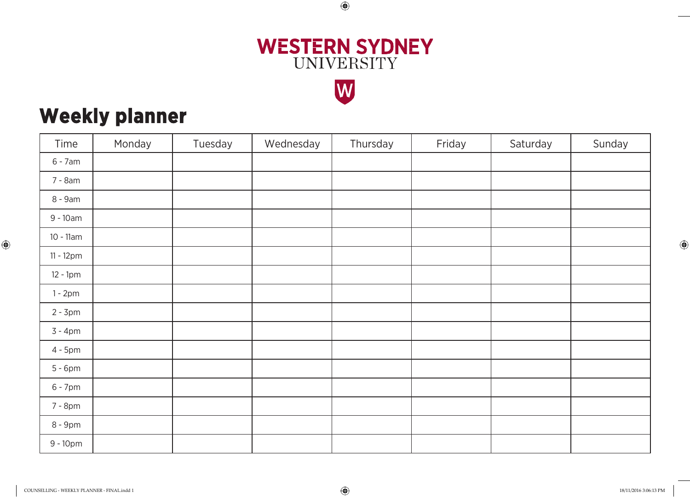

 $\bigoplus$ 



## **Weekly planner**

| Time         | Monday | Tuesday | Wednesday | Thursday | Friday | Saturday | Sunday |
|--------------|--------|---------|-----------|----------|--------|----------|--------|
| $6 - 7$ am   |        |         |           |          |        |          |        |
| 7 - 8am      |        |         |           |          |        |          |        |
| 8 - 9am      |        |         |           |          |        |          |        |
| $9 - 10am$   |        |         |           |          |        |          |        |
| $10 - 11$ am |        |         |           |          |        |          |        |
| 11 - 12pm    |        |         |           |          |        |          |        |
| $12 - 1pm$   |        |         |           |          |        |          |        |
| $1 - 2pm$    |        |         |           |          |        |          |        |
| $2 - 3pm$    |        |         |           |          |        |          |        |
| $3 - 4pm$    |        |         |           |          |        |          |        |
| $4 - 5pm$    |        |         |           |          |        |          |        |
| $5 - 6$ pm   |        |         |           |          |        |          |        |
| $6 - 7$ pm   |        |         |           |          |        |          |        |
| 7 - 8pm      |        |         |           |          |        |          |        |
| 8 - 9pm      |        |         |           |          |        |          |        |
| $9 - 10pm$   |        |         |           |          |        |          |        |

⊕